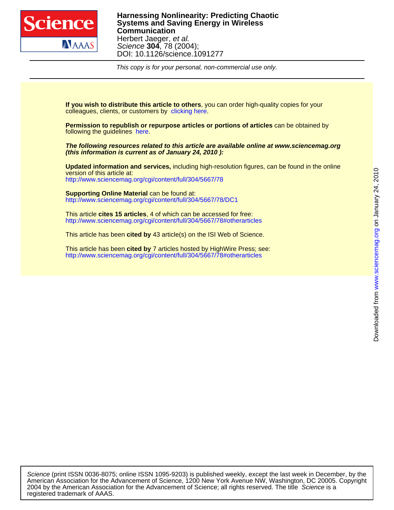

This copy is for your personal, non-commercial use only.

colleagues, clients, or customers by [clicking here.](http://www.sciencemag.org/about/permissions.dtl) **If you wish to distribute this article to others**, you can order high-quality copies for your

following the guidelines [here.](http://www.sciencemag.org/help/about/permissions.dtl) **Permission to republish or repurpose articles or portions of articles** can be obtained by

**(this information is current as of January 24, 2010 ): The following resources related to this article are available online at www.sciencemag.org**

<http://www.sciencemag.org/cgi/content/full/304/5667/78> version of this article at: **Updated information and services,** including high-resolution figures, can be found in the online

<http://www.sciencemag.org/cgi/content/full/304/5667/78/DC1> **Supporting Online Material** can be found at:

<http://www.sciencemag.org/cgi/content/full/304/5667/78#otherarticles> This article **cites 15 articles**, 4 of which can be accessed for free:

This article has been **cited by** 43 article(s) on the ISI Web of Science.

<http://www.sciencemag.org/cgi/content/full/304/5667/78#otherarticles> This article has been **cited by** 7 articles hosted by HighWire Press; see:

registered trademark of AAAS. 2004 by the American Association for the Advancement of Science; all rights reserved. The title Science is a American Association for the Advancement of Science, 1200 New York Avenue NW, Washington, DC 20005. Copyright Science (print ISSN 0036-8075; online ISSN 1095-9203) is published weekly, except the last week in December, by the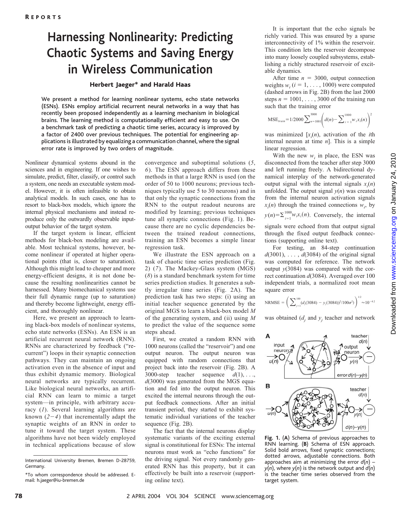# **Harnessing Nonlinearity: Predicting Chaotic Systems and Saving Energy in Wireless Communication**

#### Herbert Jaeger\* and Harald Haas

We present a method for learning nonlinear systems, echo state networks (ESNs). ESNs employ artificial recurrent neural networks in a way that has recently been proposed independently as a learning mechanism in biological brains. The learning method is computationally efficient and easy to use. On a benchmark task of predicting a chaotic time series, accuracy is improved by a factor of 2400 over previous techniques. The potential for engineering applications is illustrated by equalizing a communication channel, where the signal error rate is improved by two orders of magnitude.

Nonlinear dynamical systems abound in the sciences and in engineering. If one wishes to simulate, predict, filter, classify, or control such a system, one needs an executable system model. However, it is often infeasible to obtain analytical models. In such cases, one has to resort to black-box models, which ignore the internal physical mechanisms and instead reproduce only the outwardly observable inputoutput behavior of the target system.

If the target system is linear, efficient methods for black-box modeling are available. Most technical systems, however, become nonlinear if operated at higher operational points (that is, closer to saturation). Although this might lead to cheaper and more energy-efficient designs, it is not done because the resulting nonlinearities cannot be harnessed. Many biomechanical systems use their full dynamic range (up to saturation) and thereby become lightweight, energy efficient, and thoroughly nonlinear.

Here, we present an approach to learning black-box models of nonlinear systems, echo state networks (ESNs). An ESN is an artificial recurrent neural network (RNN). RNNs are characterized by feedback ("recurrent") loops in their synaptic connection pathways. They can maintain an ongoing activation even in the absence of input and thus exhibit dynamic memory. Biological neural networks are typically recurrent. Like biological neural networks, an artificial RNN can learn to mimic a target system—in principle, with arbitrary accuracy (*1*). Several learning algorithms are known  $(2-4)$  that incrementally adapt the synaptic weights of an RNN in order to tune it toward the target system. These algorithms have not been widely employed in technical applications because of slow

convergence and suboptimal solutions (*5*, *6*). The ESN approach differs from these methods in that a large RNN is used (on the order of 50 to 1000 neurons; previous techniques typically use 5 to 30 neurons) and in that only the synaptic connections from the RNN to the output readout neurons are modified by learning; previous techniques tune all synaptic connections (Fig. 1). Because there are no cyclic dependencies between the trained readout connections, training an ESN becomes a simple linear regression task.

We illustrate the ESN approach on a task of chaotic time series prediction (Fig. 2) (*7*). The Mackey-Glass system (MGS) (*8*) is a standard benchmark system for time series prediction studies. It generates a subtly irregular time series (Fig. 2A). The prediction task has two steps: (i) using an initial teacher sequence generated by the original MGS to learn a black-box model *M* of the generating system, and (ii) using *M* to predict the value of the sequence some steps ahead.

First, we created a random RNN with 1000 neurons (called the "reservoir") and one output neuron. The output neuron was equipped with random connections that project back into the reservoir (Fig. 2B). A 3000-step teacher sequence  $d(1), \ldots$ , *d*(3000) was generated from the MGS equation and fed into the output neuron. This excited the internal neurons through the output feedback connections. After an initial transient period, they started to exhibit systematic individual variations of the teacher sequence (Fig. 2B).

The fact that the internal neurons display systematic variants of the exciting external signal is constitutional for ESNs: The internal neurons must work as "echo functions" for the driving signal. Not every randomly generated RNN has this property, but it can effectively be built into a reservoir (supporting online text).

It is important that the echo signals be richly varied. This was ensured by a sparse interconnectivity of 1% within the reservoir. This condition lets the reservoir decompose into many loosely coupled subsystems, establishing a richly structured reservoir of excitable dynamics.

After time  $n = 3000$ , output connection weights  $w_i$  ( $i = 1, \ldots, 1000$ ) were computed (dashed arrows in Fig. 2B) from the last 2000 steps  $n = 1001, \ldots, 3000$  of the training run such that the training error

$$
\text{MSE}_{\text{train}} = 1/2000 \sum_{n=1001}^{3000} \left( d(n) - \sum_{i=1}^{1000} w_i x_i(n) \right)^2
$$

was minimized  $[x_i(n)]$ , activation of the *i*th internal neuron at time *n*]. This is a simple linear regression.

With the new  $w_i$  in place, the ESN was disconnected from the teacher after step 3000 and left running freely. A bidirectional dynamical interplay of the network-generated output signal with the internal signals  $x_i(n)$ unfolded. The output signal  $y(n)$  was created from the internal neuron activation signals  $x_i(n)$  through the trained connections  $w_i$ , by  $y(n) = \sum_{i=1}^{1000} w_i x_i(n)$ . Conversely, the internal signals were echoed from that output signal

through the fixed output feedback connections (supporting online text).

For testing, an 84-step continuation  $d(3001)$ , ...,  $d(3084)$  of the original signal was computed for reference. The network output  $y(3084)$  was compared with the correct continuation *d*(3084). Averaged over 100 independent trials, a normalized root mean square error

NRMSE = 
$$
\left(\sum_{j=1}^{100} (d_j(3084) - y_j(3084))^2/100\sigma^2)\right)^{1/2} \approx 10^{-4.2}
$$

was obtained  $(d_i$  and  $y_i$  teacher and network

teacher  $d(n)$ input  $\Lambda$  output neuron; neuron  $\rightarrow \atop u(n)} C$  $v(n)$ error  $d(n)-y(n)$ B teacher  $d(n)$  $d(n)-y(n)$ 

**Fig. 1.** (**A**) Schema of previous approaches to RNN learning. (**B**) Schema of ESN approach. Solid bold arrows, fixed synaptic connections; dotted arrows, adjustable connections. Both approaches aim at minimizing the error *d*(*n*) – *y*(*n*), where *y*(*n*) is the network output and *d*(*n*) is the teacher time series observed from the target system.

International University Bremen, Bremen D-28759, Germany.

<sup>\*</sup>To whom correspondence should be addressed. Email: h.jaeger@iu-bremen.de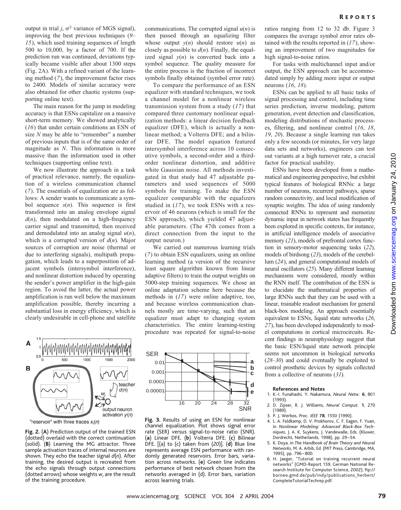output in trial *j*,  $\sigma^2$  variance of MGS signal), improving the best previous techniques (*9*– *15*), which used training sequences of length 500 to 10,000, by a factor of 700. If the prediction run was continued, deviations typically became visible after about 1300 steps (Fig. 2A). With a refined variant of the learning method (*7*), the improvement factor rises to 2400. Models of similar accuracy were also obtained for other chaotic systems (supporting online text).

The main reason for the jump in modeling accuracy is that ESNs capitalize on a massive short-term memory. We showed analytically (*16*) that under certain conditions an ESN of size *N* may be able to "remember" a number of previous inputs that is of the same order of magnitude as *N*. This information is more massive than the information used in other techniques (supporting online text).

We now illustrate the approach in a task of practical relevance, namely, the equalization of a wireless communication channel (*7*). The essentials of equalization are as follows: A sender wants to communicate a symbol sequence *s*(*n*). This sequence is first transformed into an analog envelope signal  $d(n)$ , then modulated on a high-frequency carrier signal and transmitted, then received and demodulated into an analog signal *u*(*n*), which is a corrupted version of *d*(*n*). Major sources of corruption are noise (thermal or due to interfering signals), multipath propagation, which leads to a superposition of adjacent symbols (intersymbol interference), and nonlinear distortion induced by operating the sender's power amplifier in the high-gain region. To avoid the latter, the actual power amplification is run well below the maximum amplification possible, thereby incurring a substantial loss in energy efficiency, which is clearly undesirable in cell-phone and satellite communications. The corrupted signal *u*(*n*) is then passed through an equalizing filter whose output  $y(n)$  should restore  $u(n)$  as closely as possible to  $d(n)$ . Finally, the equalized signal  $y(n)$  is converted back into a symbol sequence. The quality measure for the entire process is the fraction of incorrect symbols finally obtained (symbol error rate).

To compare the performance of an ESN equalizer with standard techniques, we took a channel model for a nonlinear wireless transmission system from a study (*17*) that compared three customary nonlinear equalization methods: a linear decision feedback equalizer (DFE), which is actually a nonlinear method; a Volterra DFE; and a bilinear DFE. The model equation featured intersymbol interference across 10 consecutive symbols, a second-order and a thirdorder nonlinear distortion, and additive white Gaussian noise. All methods investigated in that study had 47 adjustable parameters and used sequences of 5000 symbols for training. To make the ESN equalizer comparable with the equalizers studied in (*17*), we took ESNs with a reservoir of 46 neurons (which is small for the ESN approach), which yielded 47 adjustable parameters. (The 47th comes from a direct connection from the input to the output neuron.)

We carried out numerous learning trials (*7*) to obtain ESN equalizers, using an online learning method (a version of the recursive least square algorithm known from linear adaptive filters) to train the output weights on 5000-step training sequences. We chose an online adaptation scheme here because the methods in (*17*) were online adaptive, too, and because wireless communication channels mostly are time-varying, such that an equalizer must adapt to changing system characteristics. The entire learning-testing procedure was repeated for signal-to-noise



**Fig. 2.** (**A**) Prediction output of the trained ESN (dotted) overlaid with the correct continuation (solid). (**B**) Learning the MG attractor. Three sample activation traces of internal neurons are shown. They echo the teacher signal *d*(*n*). After training, the desired output is recreated from the echo signals through output connections (dotted arrows) whose weights  $w_i$  are the result of the training procedure.



**Fig. 3.** Results of using an ESN for nonlinear channel equalization. Plot shows signal error rate (SER) versus signal-to-noise ratio (SNR). (**a**) Linear DFE. (**b**) Volterra DFE. (**c**) Bilinear DFE. [(a) to (c) taken from (*20*)]. (**d**) Blue line represents average ESN performance with randomly generated reservoirs. Error bars, variation across networks. (**e**) Green line indicates performance of best network chosen from the networks averaged in (d). Error bars, variation across learning trials.

ratios ranging from 12 to 32 db. Figure 3 compares the average symbol error rates obtained with the results reported in (*17*), showing an improvement of two magnitudes for high signal-to-noise ratios.

For tasks with multichannel input and/or output, the ESN approach can be accommodated simply by adding more input or output neurons (*16*, *18*).

ESNs can be applied to all basic tasks of signal processing and control, including time series prediction, inverse modeling, pattern generation, event detection and classification, modeling distributions of stochastic processes, filtering, and nonlinear control (*16*, *18*, *19*, *20*). Because a single learning run takes only a few seconds (or minutes, for very large data sets and networks), engineers can test out variants at a high turnover rate, a crucial factor for practical usability.

ESNs have been developed from a mathematical and engineering perspective, but exhibit typical features of biological RNNs: a large number of neurons, recurrent pathways, sparse random connectivity, and local modification of synaptic weights. The idea of using randomly connected RNNs to represent and memorize dynamic input in network states has frequently been explored in specific contexts, for instance, in artificial intelligence models of associative memory (*21*), models of prefrontal cortex function in sensory-motor sequencing tasks (*22*), models of birdsong (*23*), models of the cerebellum (*24*), and general computational models of neural oscillators (*25*). Many different learning mechanisms were considered, mostly within the RNN itself. The contribution of the ESN is to elucidate the mathematical properties of large RNNs such that they can be used with a linear, trainable readout mechanism for general black-box modeling. An approach essentially equivalent to ESNs, liquid state networks (*26*, *27*), has been developed independently to model computations in cortical microcircuits. Recent findings in neurophysiology suggest that the basic ESN/liquid state network principle seems not uncommon in biological networks (*28*–*30*) and could eventually be exploited to control prosthetic devices by signals collected from a collective of neurons (*31*).

#### **References and Notes**

- 1. K.-I. Funahashi, Y. Nakamura, *Neural Netw.* **6**, 801 (1993).
- 2. D. Zipser, R. J. Williams, *Neural Comput.* **1**, 270 (1989).
- 3. P. J. Werbos, *Proc. IEEE* **78**, 1550 (1990).
- 4. L. A. Feldkamp, D. V. Prokhorov, C. F. Eagen, F. Yuan, in *Nonlinear Modeling: Advanced Black-Box Techniques*, J. A. K. Suykens, J. Vandewalle, Eds. (Kluwer, Dordrecht, Netherlands, 1998), pp. 29 –54.
- 5. K. Doya, in *The Handbook of Brain Theory and Neural Networks*, M. A. Arbib, Ed. (MIT Press, Cambridge, MA, 1995), pp. 796 – 800.
- 6. H. Jaeger, "Tutorial on training recurrent neural networks" (GMD-Report 159, German National Research Institute for Computer Science, 2002); ftp:// borneo.gmd.de/pub/indy/publications\_herbert/ CompleteTutorialTechrep.pdf.